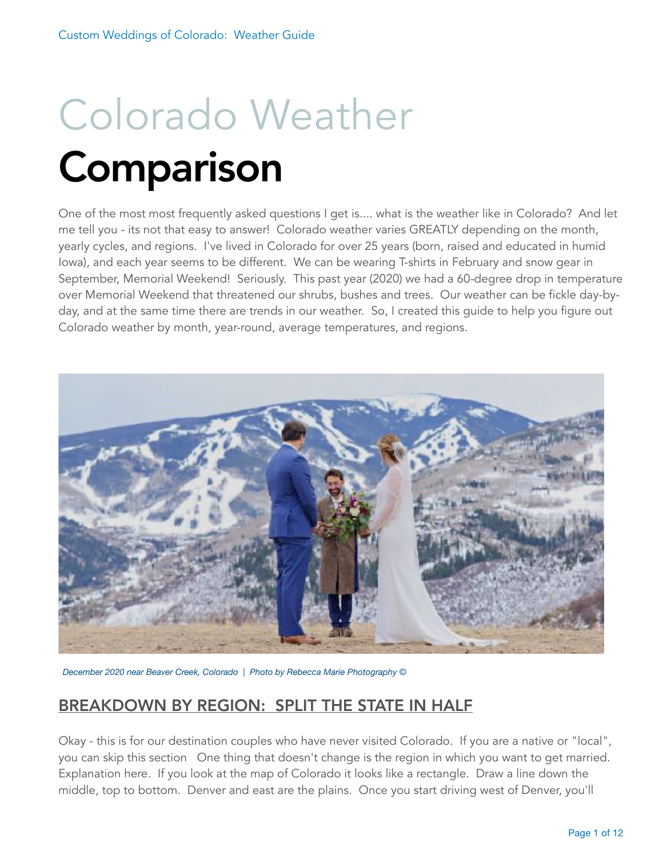# Colorado Weather Comparison

One of the most most frequently asked questions I get is.... what is the weather like in Colorado? And let me tell you - its not that easy to answer! Colorado weather varies GREATLY depending on the month, yearly cycles, and regions. I've lived in Colorado for over 25 years (born, raised and educated in humid Iowa), and each year seems to be different. We can be wearing T-shirts in February and snow gear in September, Memorial Weekend! Seriously. This past year (2020) we had a 60-degree drop in temperature over Memorial Weekend that threatened our shrubs, bushes and trees. Our weather can be fickle day-byday, and at the same time there are trends in our weather. So, I created this guide to help you figure out Colorado weather by month, year-round, average temperatures, and regions.



*December 2020 near Beaver Creek, Colorado | Photo by Rebecca Marie Photography ©*

# BREAKDOWN BY REGION: SPLIT THE STATE IN HALF

Okay - this is for our destination couples who have never visited Colorado. If you are a native or "local", you can skip this section One thing that doesn't change is the region in which you want to get married. Explanation here. If you look at the map of Colorado it looks like a rectangle. Draw a line down the middle, top to bottom. Denver and east are the plains. Once you start driving west of Denver, you'll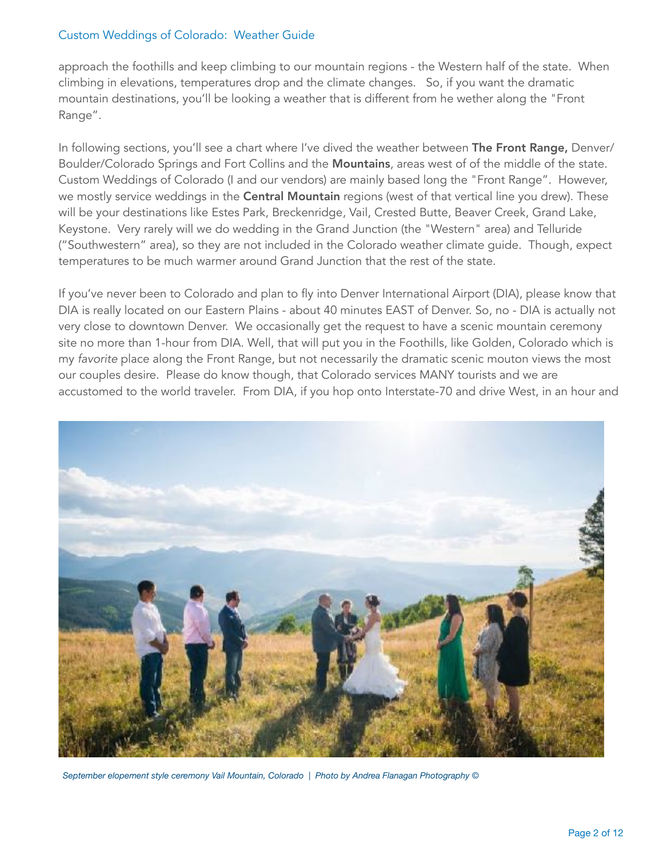approach the foothills and keep climbing to our mountain regions - the Western half of the state. When climbing in elevations, temperatures drop and the climate changes. So, if you want the dramatic mountain destinations, you'll be looking a weather that is different from he wether along the "Front Range".

In following sections, you'll see a chart where I've dived the weather between The Front Range, Denver/ Boulder/Colorado Springs and Fort Collins and the Mountains, areas west of of the middle of the state. Custom Weddings of Colorado (I and our vendors) are mainly based long the "Front Range". However, we mostly service weddings in the Central Mountain regions (west of that vertical line you drew). These will be your destinations like Estes Park, Breckenridge, Vail, Crested Butte, Beaver Creek, Grand Lake, Keystone. Very rarely will we do wedding in the Grand Junction (the "Western" area) and Telluride ("Southwestern" area), so they are not included in the Colorado weather climate guide. Though, expect temperatures to be much warmer around Grand Junction that the rest of the state.

If you've never been to Colorado and plan to fly into Denver International Airport (DIA), please know that DIA is really located on our Eastern Plains - about 40 minutes EAST of Denver. So, no - DIA is actually not very close to downtown Denver. We occasionally get the request to have a scenic mountain ceremony site no more than 1-hour from DIA. Well, that will put you in the Foothills, like Golden, Colorado which is my *favorite* place along the Front Range, but not necessarily the dramatic scenic mouton views the most our couples desire. Please do know though, that Colorado services MANY tourists and we are accustomed to the world traveler. From DIA, if you hop onto Interstate-70 and drive West, in an hour and



*September elopement style ceremony Vail Mountain, Colorado | Photo by Andrea Flanagan Photography ©*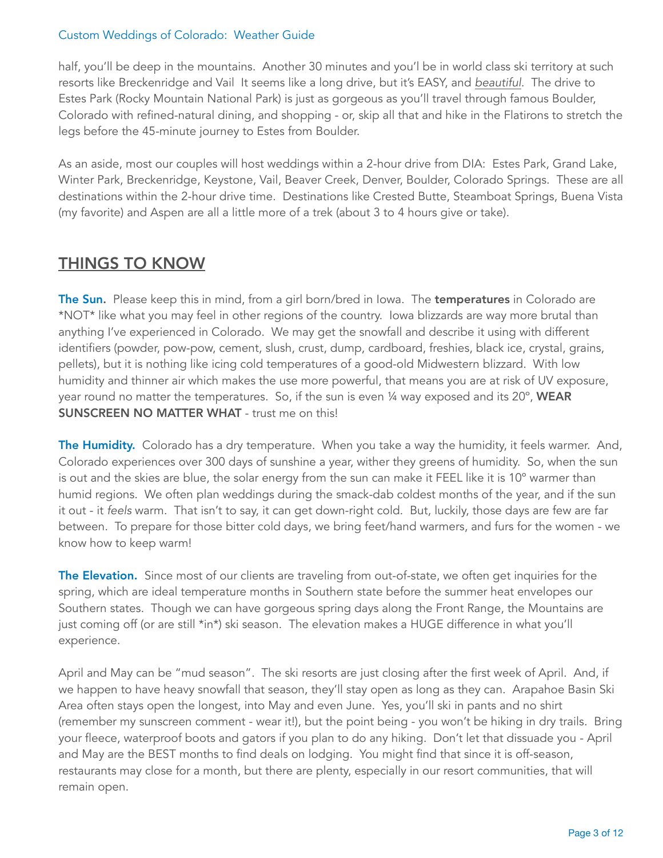half, you'll be deep in the mountains. Another 30 minutes and you'l be in world class ski territory at such resorts like Breckenridge and Vail It seems like a long drive, but it's EASY, and *beautiful*. The drive to Estes Park (Rocky Mountain National Park) is just as gorgeous as you'll travel through famous Boulder, Colorado with refined-natural dining, and shopping - or, skip all that and hike in the Flatirons to stretch the legs before the 45-minute journey to Estes from Boulder.

As an aside, most our couples will host weddings within a 2-hour drive from DIA: Estes Park, Grand Lake, Winter Park, Breckenridge, Keystone, Vail, Beaver Creek, Denver, Boulder, Colorado Springs. These are all destinations within the 2-hour drive time. Destinations like Crested Butte, Steamboat Springs, Buena Vista (my favorite) and Aspen are all a little more of a trek (about 3 to 4 hours give or take).

# THINGS TO KNOW

The Sun. Please keep this in mind, from a girl born/bred in Iowa. The temperatures in Colorado are \*NOT\* like what you may feel in other regions of the country. Iowa blizzards are way more brutal than anything I've experienced in Colorado. We may get the snowfall and describe it using with different identifiers (powder, pow-pow, cement, slush, crust, dump, cardboard, freshies, black ice, crystal, grains, pellets), but it is nothing like icing cold temperatures of a good-old Midwestern blizzard. With low humidity and thinner air which makes the use more powerful, that means you are at risk of UV exposure, year round no matter the temperatures. So, if the sun is even 1/4 way exposed and its 20°, WEAR SUNSCREEN NO MATTER WHAT - trust me on this!

The Humidity. Colorado has a dry temperature. When you take a way the humidity, it feels warmer. And, Colorado experiences over 300 days of sunshine a year, wither they greens of humidity. So, when the sun is out and the skies are blue, the solar energy from the sun can make it FEEL like it is 10º warmer than humid regions. We often plan weddings during the smack-dab coldest months of the year, and if the sun it out - it *feels* warm. That isn't to say, it can get down-right cold. But, luckily, those days are few are far between. To prepare for those bitter cold days, we bring feet/hand warmers, and furs for the women - we know how to keep warm!

The Elevation. Since most of our clients are traveling from out-of-state, we often get inquiries for the spring, which are ideal temperature months in Southern state before the summer heat envelopes our Southern states. Though we can have gorgeous spring days along the Front Range, the Mountains are just coming off (or are still \*in\*) ski season. The elevation makes a HUGE difference in what you'll experience.

April and May can be "mud season". The ski resorts are just closing after the first week of April. And, if we happen to have heavy snowfall that season, they'll stay open as long as they can. Arapahoe Basin Ski Area often stays open the longest, into May and even June. Yes, you'll ski in pants and no shirt (remember my sunscreen comment - wear it!), but the point being - you won't be hiking in dry trails. Bring your fleece, waterproof boots and gators if you plan to do any hiking. Don't let that dissuade you - April and May are the BEST months to find deals on lodging. You might find that since it is off-season, restaurants may close for a month, but there are plenty, especially in our resort communities, that will remain open.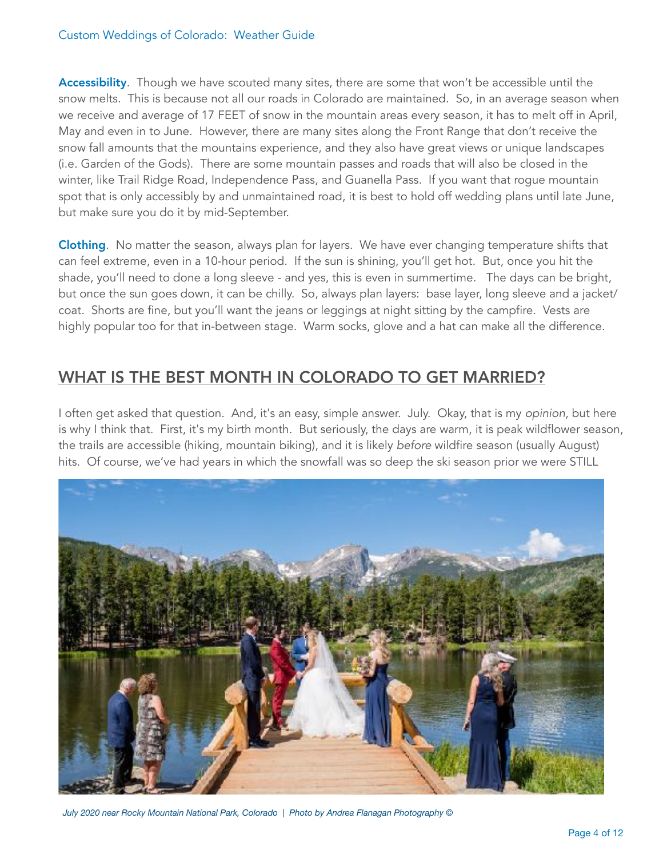Accessibility. Though we have scouted many sites, there are some that won't be accessible until the snow melts. This is because not all our roads in Colorado are maintained. So, in an average season when we receive and average of 17 FEET of snow in the mountain areas every season, it has to melt off in April, May and even in to June. However, there are many sites along the Front Range that don't receive the snow fall amounts that the mountains experience, and they also have great views or unique landscapes (i.e. Garden of the Gods). There are some mountain passes and roads that will also be closed in the winter, like Trail Ridge Road, Independence Pass, and Guanella Pass. If you want that rogue mountain spot that is only accessibly by and unmaintained road, it is best to hold off wedding plans until late June, but make sure you do it by mid-September.

Clothing. No matter the season, always plan for layers. We have ever changing temperature shifts that can feel extreme, even in a 10-hour period. If the sun is shining, you'll get hot. But, once you hit the shade, you'll need to done a long sleeve - and yes, this is even in summertime. The days can be bright, but once the sun goes down, it can be chilly. So, always plan layers: base layer, long sleeve and a jacket/ coat. Shorts are fine, but you'll want the jeans or leggings at night sitting by the campfire. Vests are highly popular too for that in-between stage. Warm socks, glove and a hat can make all the difference.

## WHAT IS THE BEST MONTH IN COLORADO TO GET MARRIED?

I often get asked that question. And, it's an easy, simple answer. July. Okay, that is my *opinion*, but here is why I think that. First, it's my birth month. But seriously, the days are warm, it is peak wildflower season, the trails are accessible (hiking, mountain biking), and it is likely *before* wildfire season (usually August) hits. Of course, we've had years in which the snowfall was so deep the ski season prior we were STILL



*July 2020 near Rocky Mountain National Park, Colorado | Photo by Andrea Flanagan Photography ©*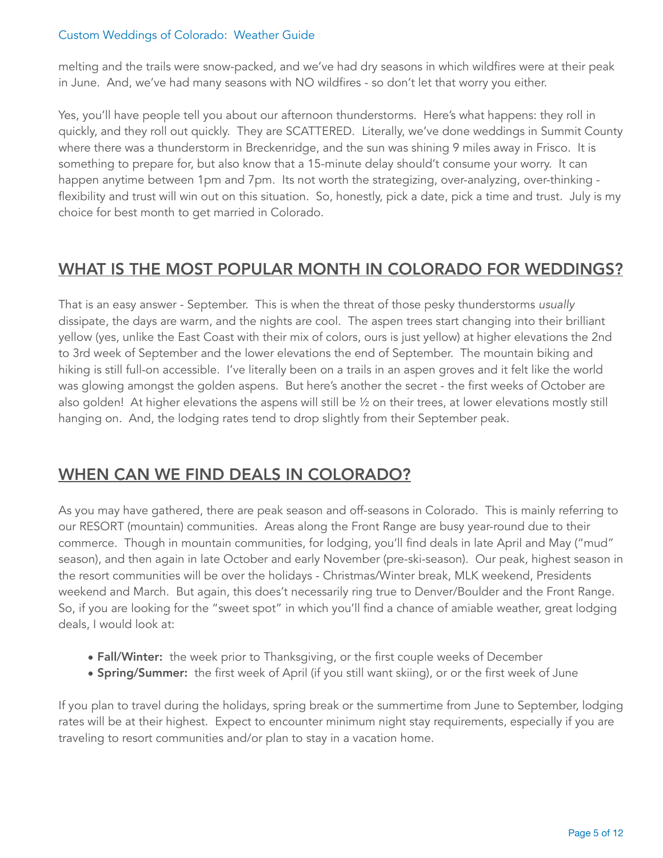melting and the trails were snow-packed, and we've had dry seasons in which wildfires were at their peak in June. And, we've had many seasons with NO wildfires - so don't let that worry you either.

Yes, you'll have people tell you about our afternoon thunderstorms. Here's what happens: they roll in quickly, and they roll out quickly. They are SCATTERED. Literally, we've done weddings in Summit County where there was a thunderstorm in Breckenridge, and the sun was shining 9 miles away in Frisco. It is something to prepare for, but also know that a 15-minute delay should't consume your worry. It can happen anytime between 1pm and 7pm. Its not worth the strategizing, over-analyzing, over-thinking flexibility and trust will win out on this situation. So, honestly, pick a date, pick a time and trust. July is my choice for best month to get married in Colorado.

# WHAT IS THE MOST POPULAR MONTH IN COLORADO FOR WEDDINGS?

That is an easy answer - September. This is when the threat of those pesky thunderstorms *usually* dissipate, the days are warm, and the nights are cool. The aspen trees start changing into their brilliant yellow (yes, unlike the East Coast with their mix of colors, ours is just yellow) at higher elevations the 2nd to 3rd week of September and the lower elevations the end of September. The mountain biking and hiking is still full-on accessible. I've literally been on a trails in an aspen groves and it felt like the world was glowing amongst the golden aspens. But here's another the secret - the first weeks of October are also golden! At higher elevations the aspens will still be ½ on their trees, at lower elevations mostly still hanging on. And, the lodging rates tend to drop slightly from their September peak.

# WHEN CAN WE FIND DEALS IN COLORADO?

As you may have gathered, there are peak season and off-seasons in Colorado. This is mainly referring to our RESORT (mountain) communities. Areas along the Front Range are busy year-round due to their commerce. Though in mountain communities, for lodging, you'll find deals in late April and May ("mud" season), and then again in late October and early November (pre-ski-season). Our peak, highest season in the resort communities will be over the holidays - Christmas/Winter break, MLK weekend, Presidents weekend and March. But again, this does't necessarily ring true to Denver/Boulder and the Front Range. So, if you are looking for the "sweet spot" in which you'll find a chance of amiable weather, great lodging deals, I would look at:

- Fall/Winter: the week prior to Thanksgiving, or the first couple weeks of December
- Spring/Summer: the first week of April (if you still want skiing), or or the first week of June

If you plan to travel during the holidays, spring break or the summertime from June to September, lodging rates will be at their highest. Expect to encounter minimum night stay requirements, especially if you are traveling to resort communities and/or plan to stay in a vacation home.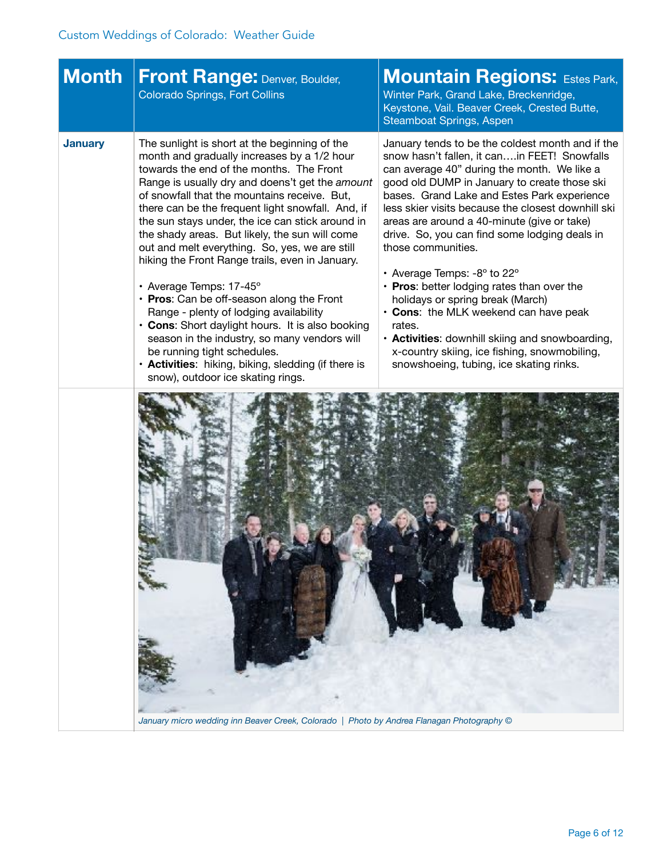| <b>Month</b>   | <b>Front Range: Denver, Boulder,</b><br><b>Colorado Springs, Fort Collins</b>                                                                                                                                                                                                                                                                                                                                                                                                                               | <b>Mountain Regions: Estes Park,</b><br>Winter Park, Grand Lake, Breckenridge,<br>Keystone, Vail. Beaver Creek, Crested Butte,<br><b>Steamboat Springs, Aspen</b>                                                                                                                                                                                                                                                          |
|----------------|-------------------------------------------------------------------------------------------------------------------------------------------------------------------------------------------------------------------------------------------------------------------------------------------------------------------------------------------------------------------------------------------------------------------------------------------------------------------------------------------------------------|----------------------------------------------------------------------------------------------------------------------------------------------------------------------------------------------------------------------------------------------------------------------------------------------------------------------------------------------------------------------------------------------------------------------------|
| <b>January</b> | The sunlight is short at the beginning of the<br>month and gradually increases by a 1/2 hour<br>towards the end of the months. The Front<br>Range is usually dry and doens't get the amount<br>of snowfall that the mountains receive. But,<br>there can be the frequent light snowfall. And, if<br>the sun stays under, the ice can stick around in<br>the shady areas. But likely, the sun will come<br>out and melt everything. So, yes, we are still<br>hiking the Front Range trails, even in January. | January tends to be the coldest month and if the<br>snow hasn't fallen, it canin FEET! Snowfalls<br>can average 40" during the month. We like a<br>good old DUMP in January to create those ski<br>bases. Grand Lake and Estes Park experience<br>less skier visits because the closest downhill ski<br>areas are around a 40-minute (give or take)<br>drive. So, you can find some lodging deals in<br>those communities. |
|                | • Average Temps: 17-45°<br>• Pros: Can be off-season along the Front<br>Range - plenty of lodging availability<br>• Cons: Short daylight hours. It is also booking<br>season in the industry, so many vendors will<br>be running tight schedules.<br>• Activities: hiking, biking, sledding (if there is<br>snow), outdoor ice skating rings.                                                                                                                                                               | • Average Temps: $-8^\circ$ to 22 $^\circ$<br>• Pros: better lodging rates than over the<br>holidays or spring break (March)<br>• Cons: the MLK weekend can have peak<br>rates.<br>• Activities: downhill skiing and snowboarding,<br>x-country skiing, ice fishing, snowmobiling,<br>snowshoeing, tubing, ice skating rinks.                                                                                              |
|                |                                                                                                                                                                                                                                                                                                                                                                                                                                                                                                             |                                                                                                                                                                                                                                                                                                                                                                                                                            |

*January micro wedding inn Beaver Creek, Colorado | Photo by Andrea Flanagan Photography ©*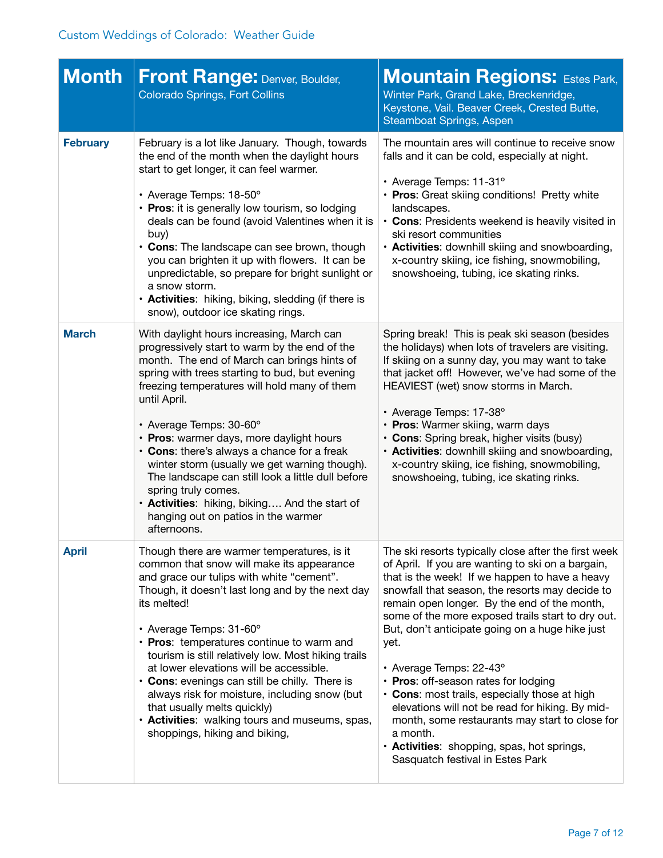| <b>Month</b>    | <b>Front Range: Denver, Boulder,</b><br><b>Colorado Springs, Fort Collins</b>                                                                                                                                                                                                                                                                                                                                                                                                                                                                                                                                         | <b>Mountain Regions: Estes Park,</b><br>Winter Park, Grand Lake, Breckenridge,<br>Keystone, Vail. Beaver Creek, Crested Butte,<br>Steamboat Springs, Aspen                                                                                                                                                                                                                                                                                                                                                                                                                                                                                                                                            |
|-----------------|-----------------------------------------------------------------------------------------------------------------------------------------------------------------------------------------------------------------------------------------------------------------------------------------------------------------------------------------------------------------------------------------------------------------------------------------------------------------------------------------------------------------------------------------------------------------------------------------------------------------------|-------------------------------------------------------------------------------------------------------------------------------------------------------------------------------------------------------------------------------------------------------------------------------------------------------------------------------------------------------------------------------------------------------------------------------------------------------------------------------------------------------------------------------------------------------------------------------------------------------------------------------------------------------------------------------------------------------|
| <b>February</b> | February is a lot like January. Though, towards<br>the end of the month when the daylight hours<br>start to get longer, it can feel warmer.<br>• Average Temps: 18-50°<br>• Pros: it is generally low tourism, so lodging<br>deals can be found (avoid Valentines when it is<br>buy)<br>• Cons: The landscape can see brown, though<br>you can brighten it up with flowers. It can be<br>unpredictable, so prepare for bright sunlight or<br>a snow storm.<br>• Activities: hiking, biking, sledding (if there is<br>snow), outdoor ice skating rings.                                                                | The mountain ares will continue to receive snow<br>falls and it can be cold, especially at night.<br>• Average Temps: 11-31°<br>• Pros: Great skiing conditions! Pretty white<br>landscapes.<br>• Cons: Presidents weekend is heavily visited in<br>ski resort communities<br>• Activities: downhill skiing and snowboarding,<br>x-country skiing, ice fishing, snowmobiling,<br>snowshoeing, tubing, ice skating rinks.                                                                                                                                                                                                                                                                              |
| <b>March</b>    | With daylight hours increasing, March can<br>progressively start to warm by the end of the<br>month. The end of March can brings hints of<br>spring with trees starting to bud, but evening<br>freezing temperatures will hold many of them<br>until April.<br>• Average Temps: 30-60°<br>• Pros: warmer days, more daylight hours<br>• Cons: there's always a chance for a freak<br>winter storm (usually we get warning though).<br>The landscape can still look a little dull before<br>spring truly comes.<br>• Activities: hiking, biking And the start of<br>hanging out on patios in the warmer<br>afternoons. | Spring break! This is peak ski season (besides<br>the holidays) when lots of travelers are visiting.<br>If skiing on a sunny day, you may want to take<br>that jacket off! However, we've had some of the<br>HEAVIEST (wet) snow storms in March.<br>• Average Temps: 17-38°<br>• Pros: Warmer skiing, warm days<br>• Cons: Spring break, higher visits (busy)<br>• Activities: downhill skiing and snowboarding,<br>x-country skiing, ice fishing, snowmobiling,<br>snowshoeing, tubing, ice skating rinks.                                                                                                                                                                                          |
| <b>April</b>    | Though there are warmer temperatures, is it<br>common that snow will make its appearance<br>and grace our tulips with white "cement".<br>Though, it doesn't last long and by the next day<br>its melted!<br>• Average Temps: 31-60°<br>• Pros: temperatures continue to warm and<br>tourism is still relatively low. Most hiking trails<br>at lower elevations will be accessible.<br>• Cons: evenings can still be chilly. There is<br>always risk for moisture, including snow (but<br>that usually melts quickly)<br>• Activities: walking tours and museums, spas,<br>shoppings, hiking and biking,               | The ski resorts typically close after the first week<br>of April. If you are wanting to ski on a bargain,<br>that is the week! If we happen to have a heavy<br>snowfall that season, the resorts may decide to<br>remain open longer. By the end of the month,<br>some of the more exposed trails start to dry out.<br>But, don't anticipate going on a huge hike just<br>yet.<br>• Average Temps: 22-43°<br>• Pros: off-season rates for lodging<br>• Cons: most trails, especially those at high<br>elevations will not be read for hiking. By mid-<br>month, some restaurants may start to close for<br>a month.<br>· Activities: shopping, spas, hot springs,<br>Sasquatch festival in Estes Park |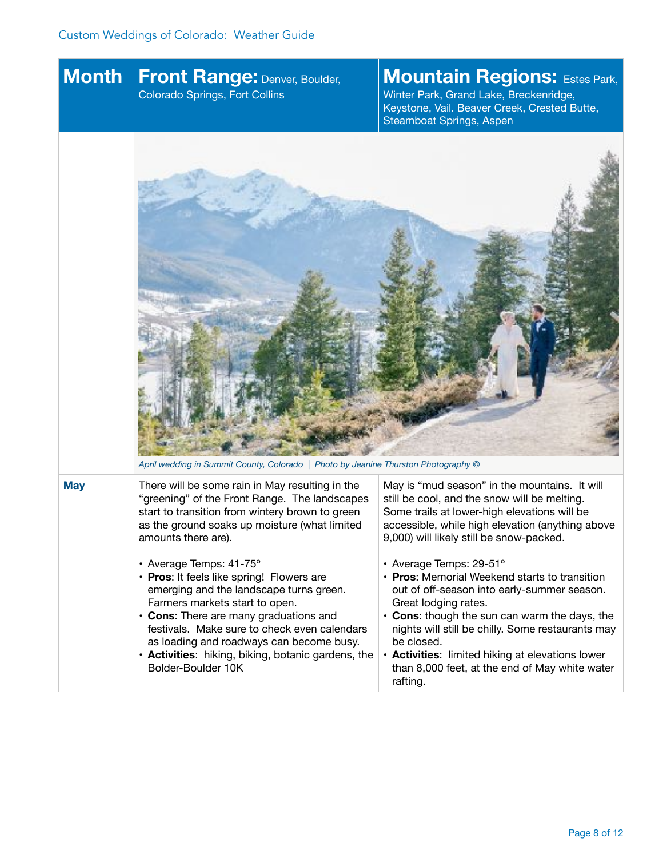| <b>Month</b> | Front Range: Denver, Boulder,<br><b>Colorado Springs, Fort Collins</b>                                                                                                                                                                                                                                                                                                                                                                                                                                                                                                                             | <b>Mountain Regions: Estes Park,</b><br>Winter Park, Grand Lake, Breckenridge,<br>Keystone, Vail. Beaver Creek, Crested Butte,<br>Steamboat Springs, Aspen                                                                                                                                                                                                                                                                                                                                                                                                                                                                             |
|--------------|----------------------------------------------------------------------------------------------------------------------------------------------------------------------------------------------------------------------------------------------------------------------------------------------------------------------------------------------------------------------------------------------------------------------------------------------------------------------------------------------------------------------------------------------------------------------------------------------------|----------------------------------------------------------------------------------------------------------------------------------------------------------------------------------------------------------------------------------------------------------------------------------------------------------------------------------------------------------------------------------------------------------------------------------------------------------------------------------------------------------------------------------------------------------------------------------------------------------------------------------------|
|              | April wedding in Summit County, Colorado   Photo by Jeanine Thurston Photography ©                                                                                                                                                                                                                                                                                                                                                                                                                                                                                                                 |                                                                                                                                                                                                                                                                                                                                                                                                                                                                                                                                                                                                                                        |
| <b>May</b>   | There will be some rain in May resulting in the<br>"greening" of the Front Range. The landscapes<br>start to transition from wintery brown to green<br>as the ground soaks up moisture (what limited<br>amounts there are).<br>• Average Temps: 41-75°<br>• Pros: It feels like spring! Flowers are<br>emerging and the landscape turns green.<br>Farmers markets start to open.<br>• Cons: There are many graduations and<br>festivals. Make sure to check even calendars<br>as loading and roadways can become busy.<br>• Activities: hiking, biking, botanic gardens, the<br>Bolder-Boulder 10K | May is "mud season" in the mountains. It will<br>still be cool, and the snow will be melting.<br>Some trails at lower-high elevations will be<br>accessible, while high elevation (anything above<br>9,000) will likely still be snow-packed.<br>• Average Temps: 29-51°<br>• Pros: Memorial Weekend starts to transition<br>out of off-season into early-summer season.<br>Great lodging rates.<br>• Cons: though the sun can warm the days, the<br>nights will still be chilly. Some restaurants may<br>be closed.<br>• Activities: limited hiking at elevations lower<br>than 8,000 feet, at the end of May white water<br>rafting. |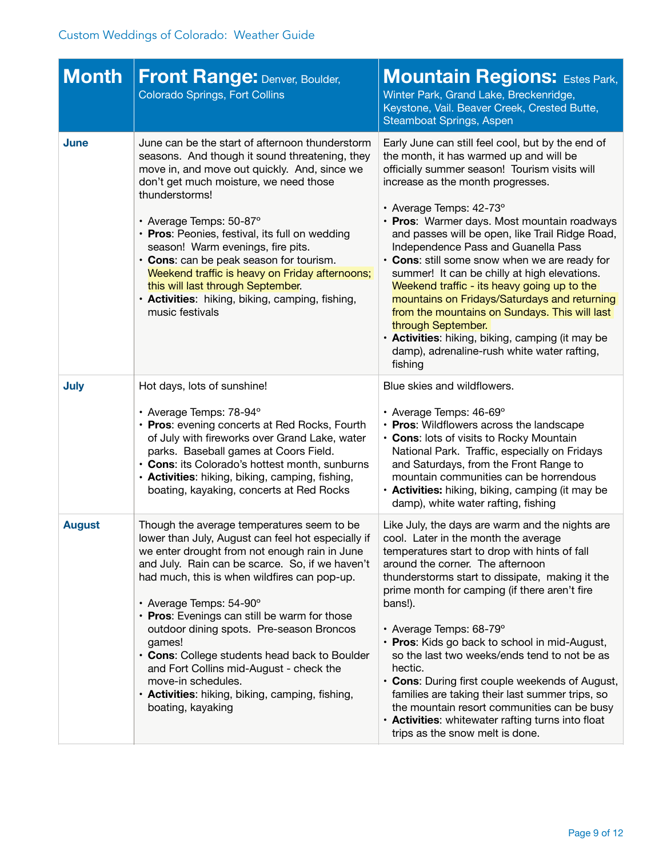| <b>Month</b>  | <b>Front Range: Denver, Boulder,</b><br><b>Colorado Springs, Fort Collins</b>                                                                                                                                                                                                                                                                                                                                                                                                                                                                                                   | <b>Mountain Regions: Estes Park,</b><br>Winter Park, Grand Lake, Breckenridge,<br>Keystone, Vail. Beaver Creek, Crested Butte,<br><b>Steamboat Springs, Aspen</b>                                                                                                                                                                                                                                                                                                                                                                                                                                                                                                                                                                           |
|---------------|---------------------------------------------------------------------------------------------------------------------------------------------------------------------------------------------------------------------------------------------------------------------------------------------------------------------------------------------------------------------------------------------------------------------------------------------------------------------------------------------------------------------------------------------------------------------------------|---------------------------------------------------------------------------------------------------------------------------------------------------------------------------------------------------------------------------------------------------------------------------------------------------------------------------------------------------------------------------------------------------------------------------------------------------------------------------------------------------------------------------------------------------------------------------------------------------------------------------------------------------------------------------------------------------------------------------------------------|
| June          | June can be the start of afternoon thunderstorm<br>seasons. And though it sound threatening, they<br>move in, and move out quickly. And, since we<br>don't get much moisture, we need those<br>thunderstorms!<br>• Average Temps: 50-87°<br>• Pros: Peonies, festival, its full on wedding<br>season! Warm evenings, fire pits.<br>• Cons: can be peak season for tourism.<br>Weekend traffic is heavy on Friday afternoons;<br>this will last through September.<br>· Activities: hiking, biking, camping, fishing,<br>music festivals                                         | Early June can still feel cool, but by the end of<br>the month, it has warmed up and will be<br>officially summer season! Tourism visits will<br>increase as the month progresses.<br>• Average Temps: 42-73°<br>• Pros: Warmer days. Most mountain roadways<br>and passes will be open, like Trail Ridge Road,<br>Independence Pass and Guanella Pass<br>• Cons: still some snow when we are ready for<br>summer! It can be chilly at high elevations.<br>Weekend traffic - its heavy going up to the<br>mountains on Fridays/Saturdays and returning<br>from the mountains on Sundays. This will last<br>through September.<br>• Activities: hiking, biking, camping (it may be<br>damp), adrenaline-rush white water rafting,<br>fishing |
| <b>July</b>   | Hot days, lots of sunshine!<br>• Average Temps: 78-94°<br>• Pros: evening concerts at Red Rocks, Fourth<br>of July with fireworks over Grand Lake, water<br>parks. Baseball games at Coors Field.<br>• Cons: its Colorado's hottest month, sunburns<br>· Activities: hiking, biking, camping, fishing,<br>boating, kayaking, concerts at Red Rocks                                                                                                                                                                                                                              | Blue skies and wildflowers.<br>• Average Temps: 46-69°<br>• Pros: Wildflowers across the landscape<br>• Cons: lots of visits to Rocky Mountain<br>National Park. Traffic, especially on Fridays<br>and Saturdays, from the Front Range to<br>mountain communities can be horrendous<br>• Activities: hiking, biking, camping (it may be<br>damp), white water rafting, fishing                                                                                                                                                                                                                                                                                                                                                              |
| <b>August</b> | Though the average temperatures seem to be<br>lower than July, August can feel hot especially if<br>we enter drought from not enough rain in June<br>and July. Rain can be scarce. So, if we haven't<br>had much, this is when wildfires can pop-up.<br>• Average Temps: 54-90°<br>• Pros: Evenings can still be warm for those<br>outdoor dining spots. Pre-season Broncos<br>games!<br>• Cons: College students head back to Boulder<br>and Fort Collins mid-August - check the<br>move-in schedules.<br>· Activities: hiking, biking, camping, fishing,<br>boating, kayaking | Like July, the days are warm and the nights are<br>cool. Later in the month the average<br>temperatures start to drop with hints of fall<br>around the corner. The afternoon<br>thunderstorms start to dissipate, making it the<br>prime month for camping (if there aren't fire<br>bans!).<br>• Average Temps: 68-79°<br>• Pros: Kids go back to school in mid-August,<br>so the last two weeks/ends tend to not be as<br>hectic.<br>• Cons: During first couple weekends of August,<br>families are taking their last summer trips, so<br>the mountain resort communities can be busy<br>• Activities: whitewater rafting turns into float<br>trips as the snow melt is done.                                                             |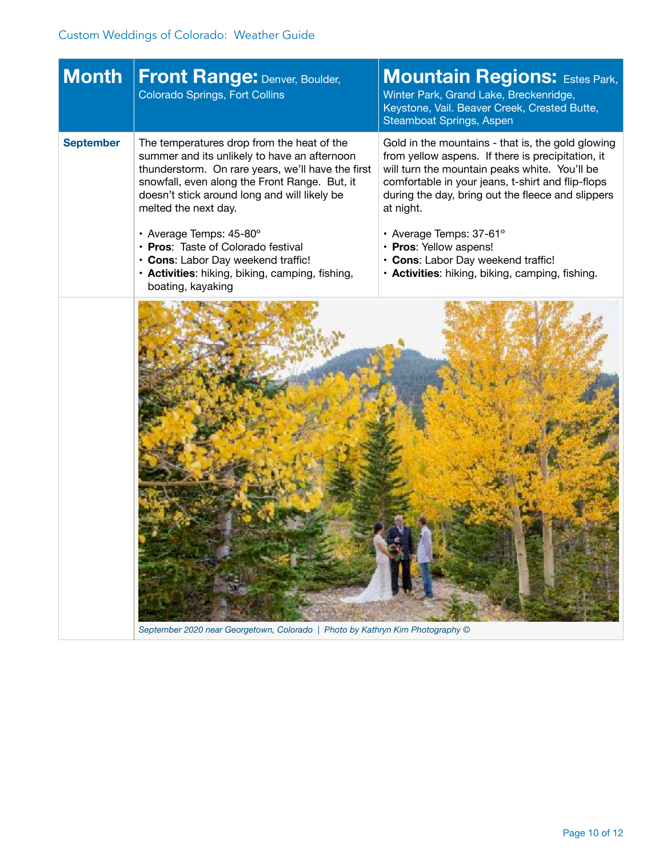| <b>Month</b>     | <b>Front Range: Denver, Boulder,</b><br><b>Colorado Springs, Fort Collins</b>                                                                                                                                                                                                                                                                                                                                                      | <b>Mountain Regions: Estes Park,</b><br>Winter Park, Grand Lake, Breckenridge,<br>Keystone, Vail. Beaver Creek, Crested Butte,<br>Steamboat Springs, Aspen                                                                                                                                                                                                                                                                   |
|------------------|------------------------------------------------------------------------------------------------------------------------------------------------------------------------------------------------------------------------------------------------------------------------------------------------------------------------------------------------------------------------------------------------------------------------------------|------------------------------------------------------------------------------------------------------------------------------------------------------------------------------------------------------------------------------------------------------------------------------------------------------------------------------------------------------------------------------------------------------------------------------|
| <b>September</b> | The temperatures drop from the heat of the<br>summer and its unlikely to have an afternoon<br>thunderstorm. On rare years, we'll have the first<br>snowfall, even along the Front Range. But, it<br>doesn't stick around long and will likely be<br>melted the next day.<br>· Average Temps: 45-80°<br>• Pros: Taste of Colorado festival<br>• Cons: Labor Day weekend traffic!<br>• Activities: hiking, biking, camping, fishing, | Gold in the mountains - that is, the gold glowing<br>from yellow aspens. If there is precipitation, it<br>will turn the mountain peaks white. You'll be<br>comfortable in your jeans, t-shirt and flip-flops<br>during the day, bring out the fleece and slippers<br>at night.<br>• Average Temps: 37-61°<br>• Pros: Yellow aspens!<br>• Cons: Labor Day weekend traffic!<br>• Activities: hiking, biking, camping, fishing. |
|                  | boating, kayaking<br>September 2020 near Georgetown, Colorado   Photo by Kathryn Kim Photography ©                                                                                                                                                                                                                                                                                                                                 |                                                                                                                                                                                                                                                                                                                                                                                                                              |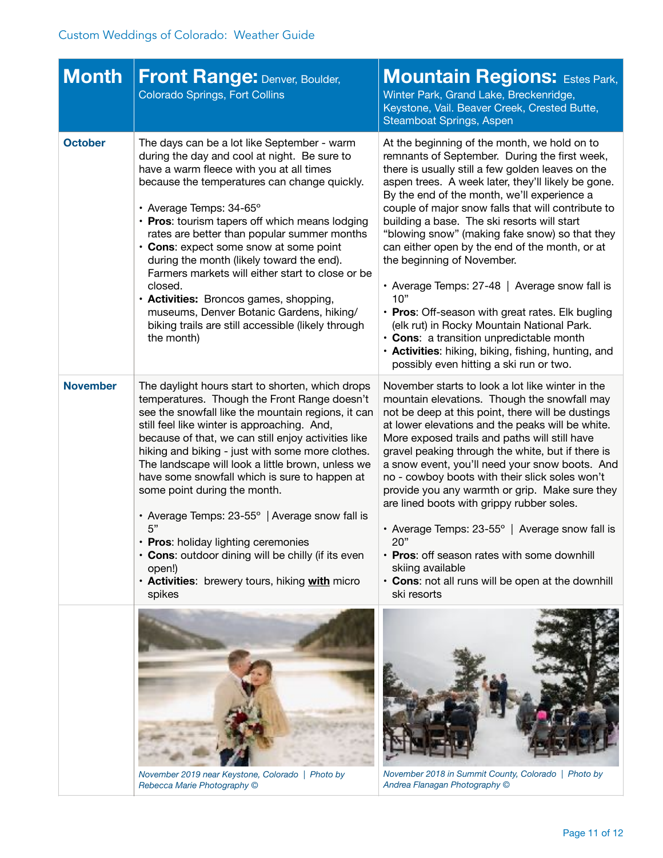| <b>Month</b>    | <b>Front Range: Denver, Boulder,</b><br><b>Colorado Springs, Fort Collins</b>                                                                                                                                                                                                                                                                                                                                                                                                                                                                                                                                                                                                     | <b>Mountain Regions: Estes Park,</b><br>Winter Park, Grand Lake, Breckenridge,<br>Keystone, Vail. Beaver Creek, Crested Butte,<br>Steamboat Springs, Aspen                                                                                                                                                                                                                                                                                                                                                                                                                                                                                                                                                                                                                                             |
|-----------------|-----------------------------------------------------------------------------------------------------------------------------------------------------------------------------------------------------------------------------------------------------------------------------------------------------------------------------------------------------------------------------------------------------------------------------------------------------------------------------------------------------------------------------------------------------------------------------------------------------------------------------------------------------------------------------------|--------------------------------------------------------------------------------------------------------------------------------------------------------------------------------------------------------------------------------------------------------------------------------------------------------------------------------------------------------------------------------------------------------------------------------------------------------------------------------------------------------------------------------------------------------------------------------------------------------------------------------------------------------------------------------------------------------------------------------------------------------------------------------------------------------|
| <b>October</b>  | The days can be a lot like September - warm<br>during the day and cool at night. Be sure to<br>have a warm fleece with you at all times<br>because the temperatures can change quickly.<br>• Average Temps: 34-65°<br>• Pros: tourism tapers off which means lodging<br>rates are better than popular summer months<br>• Cons: expect some snow at some point<br>during the month (likely toward the end).<br>Farmers markets will either start to close or be<br>closed.<br>• Activities: Broncos games, shopping,<br>museums, Denver Botanic Gardens, hiking/<br>biking trails are still accessible (likely through<br>the month)                                               | At the beginning of the month, we hold on to<br>remnants of September. During the first week,<br>there is usually still a few golden leaves on the<br>aspen trees. A week later, they'll likely be gone.<br>By the end of the month, we'll experience a<br>couple of major snow falls that will contribute to<br>building a base. The ski resorts will start<br>"blowing snow" (making fake snow) so that they<br>can either open by the end of the month, or at<br>the beginning of November.<br>• Average Temps: 27-48   Average snow fall is<br>10"<br>• Pros: Off-season with great rates. Elk bugling<br>(elk rut) in Rocky Mountain National Park.<br>• Cons: a transition unpredictable month<br>• Activities: hiking, biking, fishing, hunting, and<br>possibly even hitting a ski run or two. |
| <b>November</b> | The daylight hours start to shorten, which drops<br>temperatures. Though the Front Range doesn't<br>see the snowfall like the mountain regions, it can<br>still feel like winter is approaching. And,<br>because of that, we can still enjoy activities like<br>hiking and biking - just with some more clothes.<br>The landscape will look a little brown, unless we<br>have some snowfall which is sure to happen at<br>some point during the month.<br>• Average Temps: 23-55°   Average snow fall is<br>5"<br>• Pros: holiday lighting ceremonies<br>• Cons: outdoor dining will be chilly (if its even<br>open!)<br>· Activities: brewery tours, hiking with micro<br>spikes | November starts to look a lot like winter in the<br>mountain elevations. Though the snowfall may<br>not be deep at this point, there will be dustings<br>at lower elevations and the peaks will be white.<br>More exposed trails and paths will still have<br>gravel peaking through the white, but if there is<br>a snow event, you'll need your snow boots. And<br>no - cowboy boots with their slick soles won't<br>provide you any warmth or grip. Make sure they<br>are lined boots with grippy rubber soles.<br>• Average Temps: $23-55^\circ$   Average snow fall is<br>20"<br>• Pros: off season rates with some downhill<br>skiing available<br>• Cons: not all runs will be open at the downhill<br>ski resorts                                                                              |
|                 | November 2019 near Keystone, Colorado   Photo by<br>Rebecca Marie Photography ©                                                                                                                                                                                                                                                                                                                                                                                                                                                                                                                                                                                                   | November 2018 in Summit County, Colorado   Photo by<br>Andrea Flanagan Photography ©                                                                                                                                                                                                                                                                                                                                                                                                                                                                                                                                                                                                                                                                                                                   |